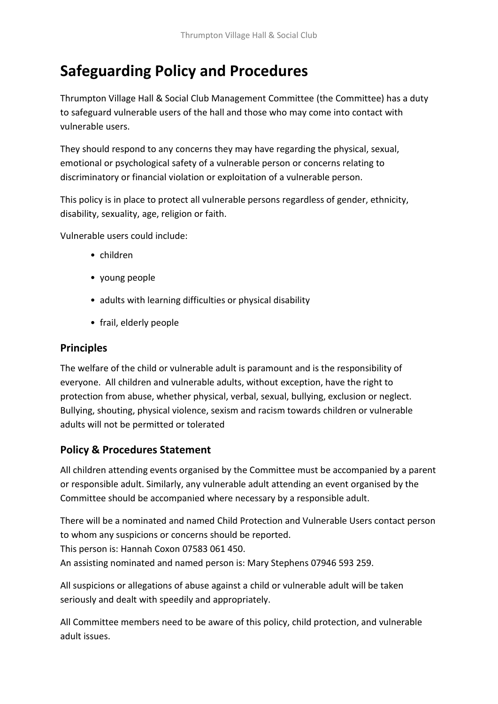## **Safeguarding Policy and Procedures**

Thrumpton Village Hall & Social Club Management Committee (the Committee) has a duty to safeguard vulnerable users of the hall and those who may come into contact with vulnerable users.

They should respond to any concerns they may have regarding the physical, sexual, emotional or psychological safety of a vulnerable person or concerns relating to discriminatory or financial violation or exploitation of a vulnerable person.

This policy is in place to protect all vulnerable persons regardless of gender, ethnicity, disability, sexuality, age, religion or faith.

Vulnerable users could include:

- children
- young people
- adults with learning difficulties or physical disability
- frail, elderly people

## **Principles**

The welfare of the child or vulnerable adult is paramount and is the responsibility of everyone. All children and vulnerable adults, without exception, have the right to protection from abuse, whether physical, verbal, sexual, bullying, exclusion or neglect. Bullying, shouting, physical violence, sexism and racism towards children or vulnerable adults will not be permitted or tolerated

## **Policy & Procedures Statement**

All children attending events organised by the Committee must be accompanied by a parent or responsible adult. Similarly, any vulnerable adult attending an event organised by the Committee should be accompanied where necessary by a responsible adult.

There will be a nominated and named Child Protection and Vulnerable Users contact person to whom any suspicions or concerns should be reported.

This person is: Hannah Coxon 07583 061 450.

An assisting nominated and named person is: Mary Stephens 07946 593 259.

All suspicions or allegations of abuse against a child or vulnerable adult will be taken seriously and dealt with speedily and appropriately.

All Committee members need to be aware of this policy, child protection, and vulnerable adult issues.